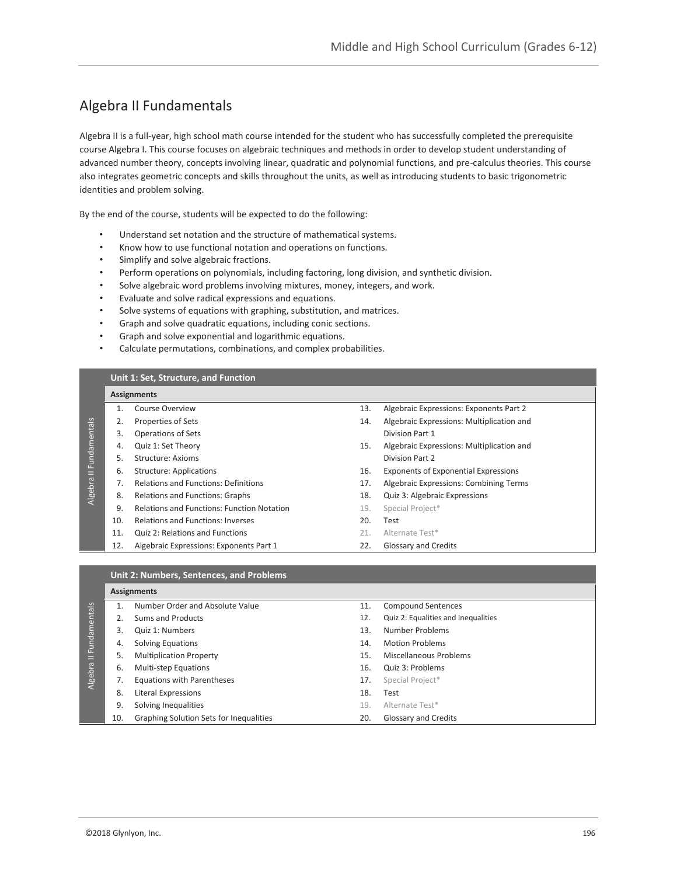# Algebra II Fundamentals

Algebra II is a full-year, high school math course intended for the student who has successfully completed the prerequisite course Algebra I. This course focuses on algebraic techniques and methods in order to develop student understanding of advanced number theory, concepts involving linear, quadratic and polynomial functions, and pre-calculus theories. This course also integrates geometric concepts and skills throughout the units, as well as introducing students to basic trigonometric identities and problem solving.

By the end of the course, students will be expected to do the following:

- Understand set notation and the structure of mathematical systems.
- Know how to use functional notation and operations on functions.
- Simplify and solve algebraic fractions.
- Perform operations on polynomials, including factoring, long division, and synthetic division.
- Solve algebraic word problems involving mixtures, money, integers, and work.
- Evaluate and solve radical expressions and equations.
- Solve systems of equations with graphing, substitution, and matrices.
- Graph and solve quadratic equations, including conic sections.
- Graph and solve exponential and logarithmic equations.
- Calculate permutations, combinations, and complex probabilities.

### **Unit 1: Set, Structure, and Function**

|              |     | <b>Assignments</b>                                |     |                                             |
|--------------|-----|---------------------------------------------------|-----|---------------------------------------------|
|              |     | <b>Course Overview</b>                            | 13. | Algebraic Expressions: Exponents Part 2     |
|              |     | Properties of Sets                                | 14. | Algebraic Expressions: Multiplication and   |
|              | 3.  | <b>Operations of Sets</b>                         |     | Division Part 1                             |
|              | 4.  | Quiz 1: Set Theory                                | 15. | Algebraic Expressions: Multiplication and   |
| Fundamentals | 5.  | Structure: Axioms                                 |     | Division Part 2                             |
| Ξ            | 6.  | <b>Structure: Applications</b>                    | 16. | <b>Exponents of Exponential Expressions</b> |
| Algebra      |     | <b>Relations and Functions: Definitions</b>       | 17. | Algebraic Expressions: Combining Terms      |
|              | 8.  | <b>Relations and Functions: Graphs</b>            | 18. | Quiz 3: Algebraic Expressions               |
|              | 9.  | <b>Relations and Functions: Function Notation</b> | 19. | Special Project*                            |
|              | 10. | <b>Relations and Functions: Inverses</b>          | 20. | Test                                        |
|              | 11. | <b>Quiz 2: Relations and Functions</b>            | 21. | Alternate Test*                             |
|              | 12. | Algebraic Expressions: Exponents Part 1           | 22. | <b>Glossary and Credits</b>                 |

#### **Unit 2: Numbers, Sentences, and Problems**

|                 |     | <b>Assignments</b>                      |     |                                     |
|-----------------|-----|-----------------------------------------|-----|-------------------------------------|
|                 |     | Number Order and Absolute Value         | 11. | <b>Compound Sentences</b>           |
|                 |     | Sums and Products                       | 12. | Quiz 2: Equalities and Inequalities |
|                 |     | Quiz 1: Numbers                         | 13. | Number Problems                     |
| II Fundamentals | 4.  | <b>Solving Equations</b>                | 14. | <b>Motion Problems</b>              |
|                 |     | <b>Multiplication Property</b>          | 15. | Miscellaneous Problems              |
| Algebra         | 6.  | <b>Multi-step Equations</b>             | 16. | Quiz 3: Problems                    |
|                 |     | <b>Equations with Parentheses</b>       | 17. | Special Project*                    |
|                 | 8.  | Literal Expressions                     | 18. | Test                                |
|                 | 9.  | Solving Inequalities                    | 19. | Alternate Test*                     |
|                 | 10. | Graphing Solution Sets for Inequalities | 20. | Glossary and Credits                |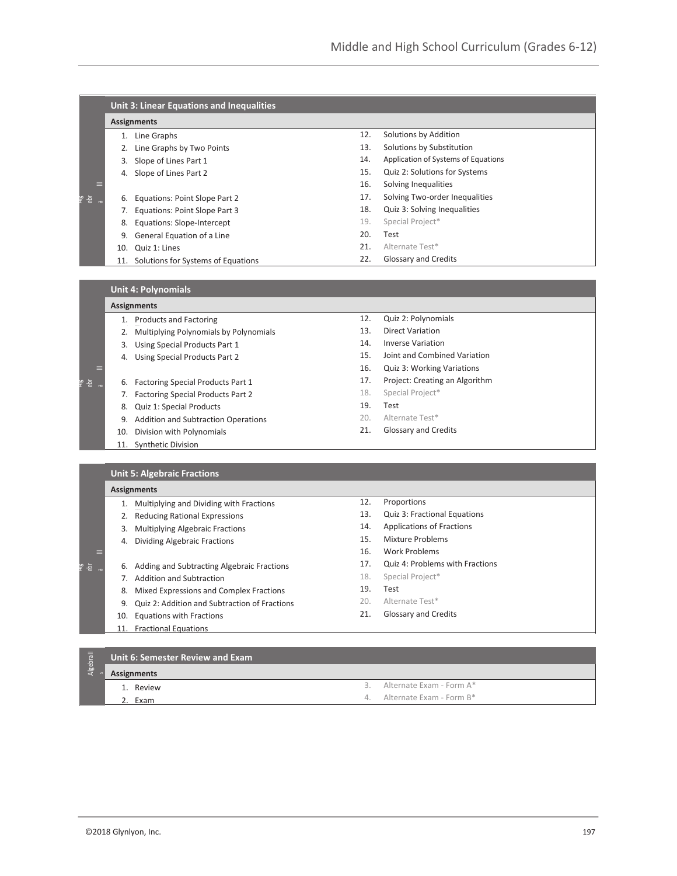|          | <b>Unit 3: Linear Equations and Inequalities</b> |                                    |     |                                     |  |
|----------|--------------------------------------------------|------------------------------------|-----|-------------------------------------|--|
|          |                                                  | <b>Assignments</b>                 |     |                                     |  |
|          |                                                  | Line Graphs                        | 12. | Solutions by Addition               |  |
|          |                                                  | Line Graphs by Two Points          | 13. | Solutions by Substitution           |  |
|          | 3.                                               | Slope of Lines Part 1              | 14. | Application of Systems of Equations |  |
|          | 4.                                               | Slope of Lines Part 2              | 15. | Quiz 2: Solutions for Systems       |  |
| ═        |                                                  |                                    | 16. | Solving Inequalities                |  |
| 高。<br>Ļ٥ | 6.                                               | Equations: Point Slope Part 2      | 17. | Solving Two-order Inequalities      |  |
|          |                                                  | Equations: Point Slope Part 3      | 18. | Quiz 3: Solving Inequalities        |  |
|          | 8.                                               | Equations: Slope-Intercept         | 19. | Special Project*                    |  |
|          | 9.                                               | General Equation of a Line         | 20. | Test                                |  |
|          | 10.                                              | Quiz 1: Lines                      | 21. | Alternate Test*                     |  |
|          | 11.                                              | Solutions for Systems of Equations | 22. | <b>Glossary and Credits</b>         |  |

## **Unit 4: Polynomials**

Alg

Alg

|     |     | <b>Assignments</b>                         | 12. | Quiz 2: Polynomials            |  |
|-----|-----|--------------------------------------------|-----|--------------------------------|--|
|     |     | 1. Products and Factoring                  |     |                                |  |
|     |     | 2. Multiplying Polynomials by Polynomials  | 13. | <b>Direct Variation</b>        |  |
|     | 3.  | Using Special Products Part 1              | 14. | <b>Inverse Variation</b>       |  |
|     | 4.  | Using Special Products Part 2              | 15. | Joint and Combined Variation   |  |
|     |     |                                            | 16. | Quiz 3: Working Variations     |  |
| 를 ᇛ | 6.  | Factoring Special Products Part 1          | 17. | Project: Creating an Algorithm |  |
|     | 7.  | Factoring Special Products Part 2          | 18. | Special Project*               |  |
|     | 8.  | Quiz 1: Special Products                   | 19. | Test                           |  |
|     | 9.  | <b>Addition and Subtraction Operations</b> | 20. | Alternate Test*                |  |
|     | 10. | Division with Polynomials                  | 21. | <b>Glossary and Credits</b>    |  |
|     | 11. | <b>Synthetic Division</b>                  |     |                                |  |
|     |     |                                            |     |                                |  |
|     |     | <b>Unit 5: Algebraic Fractions</b>         |     |                                |  |
|     |     |                                            |     |                                |  |

| 1.  | Multiplying and Dividing with Fractions       | 12. | Proportions                      |
|-----|-----------------------------------------------|-----|----------------------------------|
|     | <b>Reducing Rational Expressions</b>          | 13. | Quiz 3: Fractional Equations     |
| 3.  | <b>Multiplying Algebraic Fractions</b>        | 14. | <b>Applications of Fractions</b> |
| 4.  | Dividing Algebraic Fractions                  | 15. | Mixture Problems                 |
|     |                                               | 16. | Work Problems                    |
| 6.  | Adding and Subtracting Algebraic Fractions    | 17. | Quiz 4: Problems with Fractions  |
|     | Addition and Subtraction                      | 18. | Special Project*                 |
| 8.  | Mixed Expressions and Complex Fractions       | 19. | Test                             |
| 9.  | Quiz 2: Addition and Subtraction of Fractions | 20. | Alternate Test*                  |
| 10. | Equations with Fractions                      | 21. | <b>Glossary and Credits</b>      |
| 11. | <b>Fractional Equations</b>                   |     |                                  |

#### Algebrall **Unit 6: Semester Review and Exam Assignments** 1. Review 3. Alternate Exam - Form A\*

4. Alternate Exam - Form B\*

2. Exam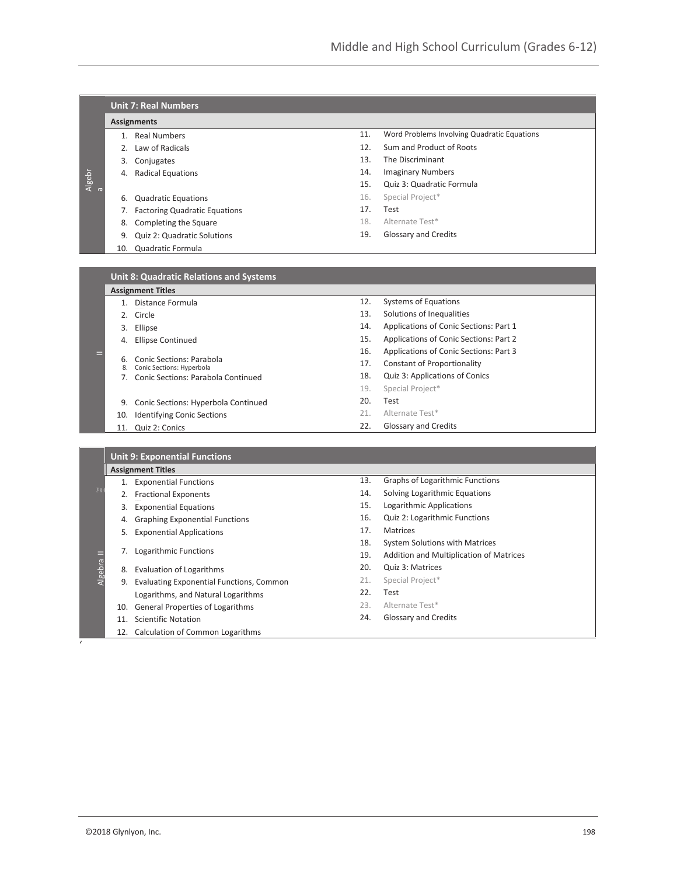|                |     | <b>Unit 7: Real Numbers</b>          |     |                                             |
|----------------|-----|--------------------------------------|-----|---------------------------------------------|
|                |     | <b>Assignments</b>                   |     |                                             |
|                |     | <b>Real Numbers</b>                  | 11. | Word Problems Involving Quadratic Equations |
|                | 2.  | Law of Radicals                      | 12. | Sum and Product of Roots                    |
|                | 3.  | Conjugates                           | 13. | The Discriminant                            |
|                | 4.  | <b>Radical Equations</b>             | 14. | <b>Imaginary Numbers</b>                    |
| $\overline{C}$ |     |                                      | 15. | Quiz 3: Quadratic Formula                   |
|                | 6.  | <b>Quadratic Equations</b>           | 16. | Special Project*                            |
|                |     | <b>Factoring Quadratic Equations</b> | 17. | Test                                        |
|                | 8.  | Completing the Square                | 18. | Alternate Test*                             |
|                | 9.  | <b>Quiz 2: Quadratic Solutions</b>   | 19. | Glossary and Credits                        |
|                | 10. | Quadratic Formula                    |     |                                             |
|                |     |                                      |     |                                             |

|             | <b>Unit 8: Quadratic Relations and Systems</b>        |     |                                        |  |  |
|-------------|-------------------------------------------------------|-----|----------------------------------------|--|--|
|             | <b>Assignment Titles</b>                              |     |                                        |  |  |
|             | Distance Formula                                      | 12. | <b>Systems of Equations</b>            |  |  |
| $2^{\circ}$ | Circle                                                | 13. | Solutions of Inequalities              |  |  |
| 3.          | Ellipse                                               | 14. | Applications of Conic Sections: Part 1 |  |  |
| 4.          | Ellipse Continued                                     | 15. | Applications of Conic Sections: Part 2 |  |  |
|             |                                                       | 16. | Applications of Conic Sections: Part 3 |  |  |
| 6.<br>8.    | Conic Sections: Parabola<br>Conic Sections: Hyperbola | 17. | <b>Constant of Proportionality</b>     |  |  |
|             | Conic Sections: Parabola Continued                    | 18. | Quiz 3: Applications of Conics         |  |  |
|             |                                                       | 19. | Special Project*                       |  |  |
| 9.          | Conic Sections: Hyperbola Continued                   | 20. | Test                                   |  |  |
| 10.         | <b>Identifying Conic Sections</b>                     | 21. | Alternate Test*                        |  |  |
| 11.         | Quiz 2: Conics                                        | 22. | Glossary and Credits                   |  |  |

|         |     | <b>Unit 9: Exponential Functions</b>            |     |                                         |
|---------|-----|-------------------------------------------------|-----|-----------------------------------------|
|         |     | <b>Assignment Titles</b>                        |     |                                         |
|         |     | <b>Exponential Functions</b>                    | 13. | <b>Graphs of Logarithmic Functions</b>  |
| 良姜      |     | <b>Fractional Exponents</b>                     | 14. | Solving Logarithmic Equations           |
|         | 3.  | <b>Exponential Equations</b>                    | 15. | Logarithmic Applications                |
|         | 4.  | <b>Graphing Exponential Functions</b>           | 16. | Quiz 2: Logarithmic Functions           |
|         | 5.  | <b>Exponential Applications</b>                 | 17. | Matrices                                |
|         |     |                                                 | 18. | <b>System Solutions with Matrices</b>   |
| Ξ       |     | Logarithmic Functions                           | 19. | Addition and Multiplication of Matrices |
| Algebra | 8.  | <b>Evaluation of Logarithms</b>                 | 20. | Quiz 3: Matrices                        |
|         | 9.  | <b>Evaluating Exponential Functions, Common</b> | 21. | Special Project*                        |
|         |     | Logarithms, and Natural Logarithms              | 22. | Test                                    |
|         | 10. | <b>General Properties of Logarithms</b>         | 23. | Alternate Test*                         |
|         | 11  | <b>Scientific Notation</b>                      | 24. | <b>Glossary and Credits</b>             |
|         | 12. | Calculation of Common Logarithms                |     |                                         |

'

Algebr